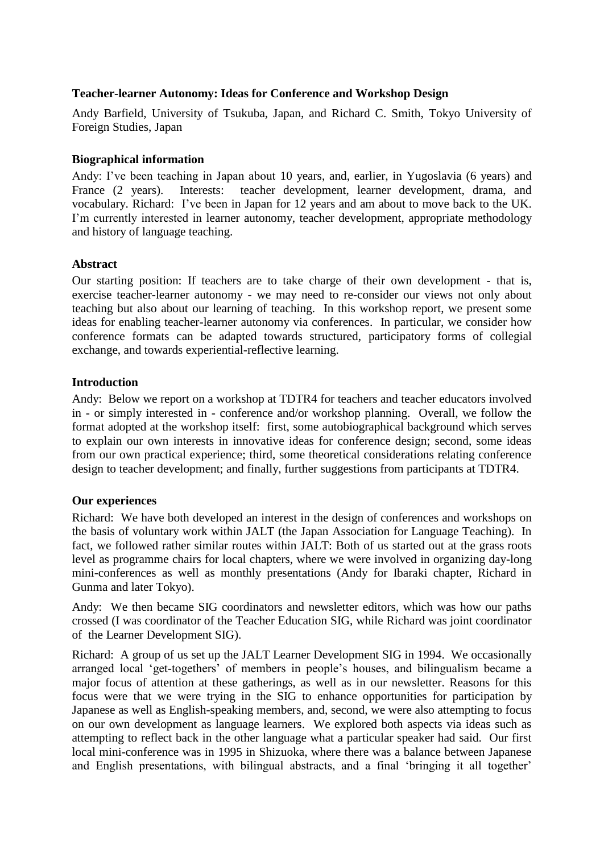### **Teacher-learner Autonomy: Ideas for Conference and Workshop Design**

Andy Barfield, University of Tsukuba, Japan, and Richard C. Smith, Tokyo University of Foreign Studies, Japan

#### **Biographical information**

Andy: I've been teaching in Japan about 10 years, and, earlier, in Yugoslavia (6 years) and France (2 years). Interests: teacher development, learner development, drama, and vocabulary. Richard: I've been in Japan for 12 years and am about to move back to the UK. I'm currently interested in learner autonomy, teacher development, appropriate methodology and history of language teaching.

#### **Abstract**

Our starting position: If teachers are to take charge of their own development - that is, exercise teacher-learner autonomy - we may need to re-consider our views not only about teaching but also about our learning of teaching. In this workshop report, we present some ideas for enabling teacher-learner autonomy via conferences. In particular, we consider how conference formats can be adapted towards structured, participatory forms of collegial exchange, and towards experiential-reflective learning.

#### **Introduction**

Andy: Below we report on a workshop at TDTR4 for teachers and teacher educators involved in - or simply interested in - conference and/or workshop planning. Overall, we follow the format adopted at the workshop itself: first, some autobiographical background which serves to explain our own interests in innovative ideas for conference design; second, some ideas from our own practical experience; third, some theoretical considerations relating conference design to teacher development; and finally, further suggestions from participants at TDTR4.

#### **Our experiences**

Richard: We have both developed an interest in the design of conferences and workshops on the basis of voluntary work within JALT (the Japan Association for Language Teaching). In fact, we followed rather similar routes within JALT: Both of us started out at the grass roots level as programme chairs for local chapters, where we were involved in organizing day-long mini-conferences as well as monthly presentations (Andy for Ibaraki chapter, Richard in Gunma and later Tokyo).

Andy: We then became SIG coordinators and newsletter editors, which was how our paths crossed (I was coordinator of the Teacher Education SIG, while Richard was joint coordinator of the Learner Development SIG).

Richard: A group of us set up the JALT Learner Development SIG in 1994. We occasionally arranged local 'get-togethers' of members in people's houses, and bilingualism became a major focus of attention at these gatherings, as well as in our newsletter. Reasons for this focus were that we were trying in the SIG to enhance opportunities for participation by Japanese as well as English-speaking members, and, second, we were also attempting to focus on our own development as language learners. We explored both aspects via ideas such as attempting to reflect back in the other language what a particular speaker had said. Our first local mini-conference was in 1995 in Shizuoka, where there was a balance between Japanese and English presentations, with bilingual abstracts, and a final 'bringing it all together'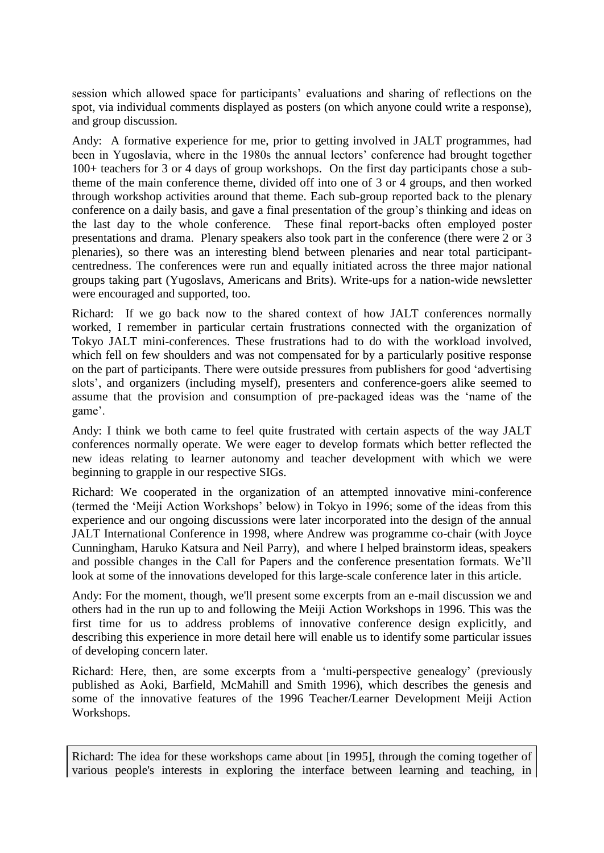session which allowed space for participants' evaluations and sharing of reflections on the spot, via individual comments displayed as posters (on which anyone could write a response), and group discussion.

Andy: A formative experience for me, prior to getting involved in JALT programmes, had been in Yugoslavia, where in the 1980s the annual lectors' conference had brought together 100+ teachers for 3 or 4 days of group workshops. On the first day participants chose a subtheme of the main conference theme, divided off into one of 3 or 4 groups, and then worked through workshop activities around that theme. Each sub-group reported back to the plenary conference on a daily basis, and gave a final presentation of the group's thinking and ideas on the last day to the whole conference. These final report-backs often employed poster presentations and drama. Plenary speakers also took part in the conference (there were 2 or 3 plenaries), so there was an interesting blend between plenaries and near total participantcentredness. The conferences were run and equally initiated across the three major national groups taking part (Yugoslavs, Americans and Brits). Write-ups for a nation-wide newsletter were encouraged and supported, too.

Richard: If we go back now to the shared context of how JALT conferences normally worked, I remember in particular certain frustrations connected with the organization of Tokyo JALT mini-conferences. These frustrations had to do with the workload involved, which fell on few shoulders and was not compensated for by a particularly positive response on the part of participants. There were outside pressures from publishers for good 'advertising slots', and organizers (including myself), presenters and conference-goers alike seemed to assume that the provision and consumption of pre-packaged ideas was the 'name of the game'.

Andy: I think we both came to feel quite frustrated with certain aspects of the way JALT conferences normally operate. We were eager to develop formats which better reflected the new ideas relating to learner autonomy and teacher development with which we were beginning to grapple in our respective SIGs.

Richard: We cooperated in the organization of an attempted innovative mini-conference (termed the 'Meiji Action Workshops' below) in Tokyo in 1996; some of the ideas from this experience and our ongoing discussions were later incorporated into the design of the annual JALT International Conference in 1998, where Andrew was programme co-chair (with Joyce Cunningham, Haruko Katsura and Neil Parry), and where I helped brainstorm ideas, speakers and possible changes in the Call for Papers and the conference presentation formats. We'll look at some of the innovations developed for this large-scale conference later in this article.

Andy: For the moment, though, we'll present some excerpts from an e-mail discussion we and others had in the run up to and following the Meiji Action Workshops in 1996. This was the first time for us to address problems of innovative conference design explicitly, and describing this experience in more detail here will enable us to identify some particular issues of developing concern later.

Richard: Here, then, are some excerpts from a 'multi-perspective genealogy' (previously published as Aoki, Barfield, McMahill and Smith 1996), which describes the genesis and some of the innovative features of the 1996 Teacher/Learner Development Meiji Action Workshops.

Richard: The idea for these workshops came about [in 1995], through the coming together of various people's interests in exploring the interface between learning and teaching, in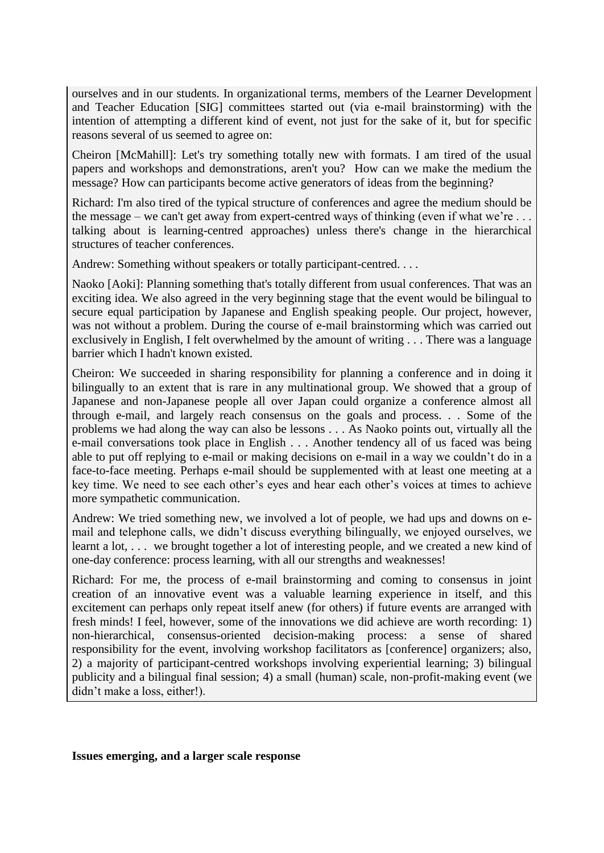ourselves and in our students. In organizational terms, members of the Learner Development and Teacher Education [SIG] committees started out (via e-mail brainstorming) with the intention of attempting a different kind of event, not just for the sake of it, but for specific reasons several of us seemed to agree on:

Cheiron [McMahill]: Let's try something totally new with formats. I am tired of the usual papers and workshops and demonstrations, aren't you? How can we make the medium the message? How can participants become active generators of ideas from the beginning?

Richard: I'm also tired of the typical structure of conferences and agree the medium should be the message – we can't get away from expert-centred ways of thinking (even if what we're  $\dots$ ) talking about is learning-centred approaches) unless there's change in the hierarchical structures of teacher conferences.

Andrew: Something without speakers or totally participant-centred. . . .

Naoko [Aoki]: Planning something that's totally different from usual conferences. That was an exciting idea. We also agreed in the very beginning stage that the event would be bilingual to secure equal participation by Japanese and English speaking people. Our project, however, was not without a problem. During the course of e-mail brainstorming which was carried out exclusively in English, I felt overwhelmed by the amount of writing . . . There was a language barrier which I hadn't known existed.

Cheiron: We succeeded in sharing responsibility for planning a conference and in doing it bilingually to an extent that is rare in any multinational group. We showed that a group of Japanese and non-Japanese people all over Japan could organize a conference almost all through e-mail, and largely reach consensus on the goals and process. . . Some of the problems we had along the way can also be lessons . . . As Naoko points out, virtually all the e-mail conversations took place in English . . . Another tendency all of us faced was being able to put off replying to e-mail or making decisions on e-mail in a way we couldn't do in a face-to-face meeting. Perhaps e-mail should be supplemented with at least one meeting at a key time. We need to see each other's eyes and hear each other's voices at times to achieve more sympathetic communication.

Andrew: We tried something new, we involved a lot of people, we had ups and downs on email and telephone calls, we didn't discuss everything bilingually, we enjoyed ourselves, we learnt a lot, ... we brought together a lot of interesting people, and we created a new kind of one-day conference: process learning, with all our strengths and weaknesses!

Richard: For me, the process of e-mail brainstorming and coming to consensus in joint creation of an innovative event was a valuable learning experience in itself, and this excitement can perhaps only repeat itself anew (for others) if future events are arranged with fresh minds! I feel, however, some of the innovations we did achieve are worth recording: 1) non-hierarchical, consensus-oriented decision-making process: a sense of shared responsibility for the event, involving workshop facilitators as [conference] organizers; also, 2) a majority of participant-centred workshops involving experiential learning; 3) bilingual publicity and a bilingual final session; 4) a small (human) scale, non-profit-making event (we didn't make a loss, either!).

#### **Issues emerging, and a larger scale response**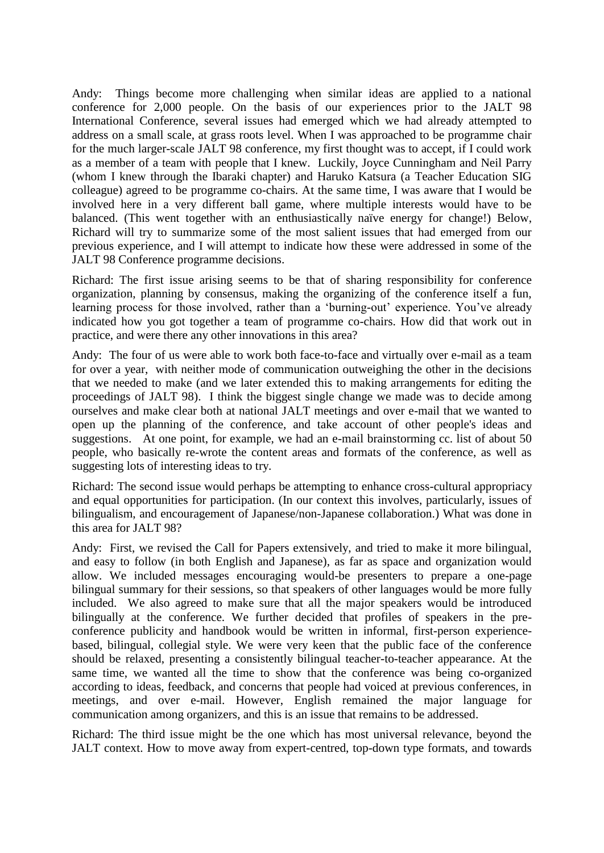Andy: Things become more challenging when similar ideas are applied to a national conference for 2,000 people. On the basis of our experiences prior to the JALT 98 International Conference, several issues had emerged which we had already attempted to address on a small scale, at grass roots level. When I was approached to be programme chair for the much larger-scale JALT 98 conference, my first thought was to accept, if I could work as a member of a team with people that I knew. Luckily, Joyce Cunningham and Neil Parry (whom I knew through the Ibaraki chapter) and Haruko Katsura (a Teacher Education SIG colleague) agreed to be programme co-chairs. At the same time, I was aware that I would be involved here in a very different ball game, where multiple interests would have to be balanced. (This went together with an enthusiastically naïve energy for change!) Below, Richard will try to summarize some of the most salient issues that had emerged from our previous experience, and I will attempt to indicate how these were addressed in some of the JALT 98 Conference programme decisions.

Richard: The first issue arising seems to be that of sharing responsibility for conference organization, planning by consensus, making the organizing of the conference itself a fun, learning process for those involved, rather than a 'burning-out' experience. You've already indicated how you got together a team of programme co-chairs. How did that work out in practice, and were there any other innovations in this area?

Andy: The four of us were able to work both face-to-face and virtually over e-mail as a team for over a year, with neither mode of communication outweighing the other in the decisions that we needed to make (and we later extended this to making arrangements for editing the proceedings of JALT 98). I think the biggest single change we made was to decide among ourselves and make clear both at national JALT meetings and over e-mail that we wanted to open up the planning of the conference, and take account of other people's ideas and suggestions. At one point, for example, we had an e-mail brainstorming cc. list of about 50 people, who basically re-wrote the content areas and formats of the conference, as well as suggesting lots of interesting ideas to try.

Richard: The second issue would perhaps be attempting to enhance cross-cultural appropriacy and equal opportunities for participation. (In our context this involves, particularly, issues of bilingualism, and encouragement of Japanese/non-Japanese collaboration.) What was done in this area for JALT 98?

Andy: First, we revised the Call for Papers extensively, and tried to make it more bilingual, and easy to follow (in both English and Japanese), as far as space and organization would allow. We included messages encouraging would-be presenters to prepare a one-page bilingual summary for their sessions, so that speakers of other languages would be more fully included. We also agreed to make sure that all the major speakers would be introduced bilingually at the conference. We further decided that profiles of speakers in the preconference publicity and handbook would be written in informal, first-person experiencebased, bilingual, collegial style. We were very keen that the public face of the conference should be relaxed, presenting a consistently bilingual teacher-to-teacher appearance. At the same time, we wanted all the time to show that the conference was being co-organized according to ideas, feedback, and concerns that people had voiced at previous conferences, in meetings, and over e-mail. However, English remained the major language for communication among organizers, and this is an issue that remains to be addressed.

Richard: The third issue might be the one which has most universal relevance, beyond the JALT context. How to move away from expert-centred, top-down type formats, and towards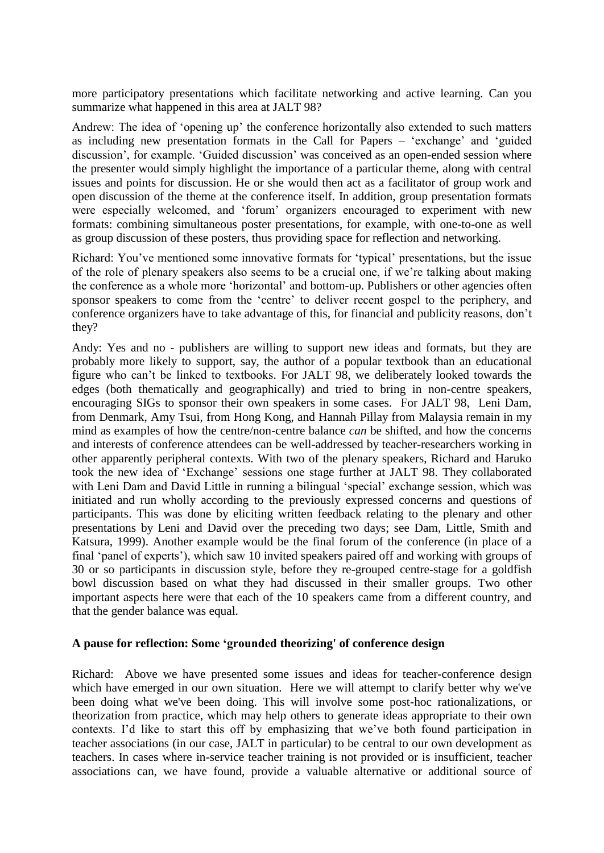more participatory presentations which facilitate networking and active learning. Can you summarize what happened in this area at JALT 98?

Andrew: The idea of 'opening up' the conference horizontally also extended to such matters as including new presentation formats in the Call for Papers – 'exchange' and 'guided discussion', for example. 'Guided discussion' was conceived as an open-ended session where the presenter would simply highlight the importance of a particular theme, along with central issues and points for discussion. He or she would then act as a facilitator of group work and open discussion of the theme at the conference itself. In addition, group presentation formats were especially welcomed, and 'forum' organizers encouraged to experiment with new formats: combining simultaneous poster presentations, for example, with one-to-one as well as group discussion of these posters, thus providing space for reflection and networking.

Richard: You've mentioned some innovative formats for 'typical' presentations, but the issue of the role of plenary speakers also seems to be a crucial one, if we're talking about making the conference as a whole more 'horizontal' and bottom-up. Publishers or other agencies often sponsor speakers to come from the 'centre' to deliver recent gospel to the periphery, and conference organizers have to take advantage of this, for financial and publicity reasons, don't they?

Andy: Yes and no - publishers are willing to support new ideas and formats, but they are probably more likely to support, say, the author of a popular textbook than an educational figure who can't be linked to textbooks. For JALT 98, we deliberately looked towards the edges (both thematically and geographically) and tried to bring in non-centre speakers, encouraging SIGs to sponsor their own speakers in some cases. For JALT 98, Leni Dam, from Denmark, Amy Tsui, from Hong Kong, and Hannah Pillay from Malaysia remain in my mind as examples of how the centre/non-centre balance *can* be shifted, and how the concerns and interests of conference attendees can be well-addressed by teacher-researchers working in other apparently peripheral contexts. With two of the plenary speakers, Richard and Haruko took the new idea of 'Exchange' sessions one stage further at JALT 98. They collaborated with Leni Dam and David Little in running a bilingual 'special' exchange session, which was initiated and run wholly according to the previously expressed concerns and questions of participants. This was done by eliciting written feedback relating to the plenary and other presentations by Leni and David over the preceding two days; see Dam, Little, Smith and Katsura, 1999). Another example would be the final forum of the conference (in place of a final 'panel of experts'), which saw 10 invited speakers paired off and working with groups of 30 or so participants in discussion style, before they re-grouped centre-stage for a goldfish bowl discussion based on what they had discussed in their smaller groups. Two other important aspects here were that each of the 10 speakers came from a different country, and that the gender balance was equal.

#### **A pause for reflection: Some 'grounded theorizing' of conference design**

Richard: Above we have presented some issues and ideas for teacher-conference design which have emerged in our own situation. Here we will attempt to clarify better why we've been doing what we've been doing. This will involve some post-hoc rationalizations, or theorization from practice, which may help others to generate ideas appropriate to their own contexts. I'd like to start this off by emphasizing that we've both found participation in teacher associations (in our case, JALT in particular) to be central to our own development as teachers. In cases where in-service teacher training is not provided or is insufficient, teacher associations can, we have found, provide a valuable alternative or additional source of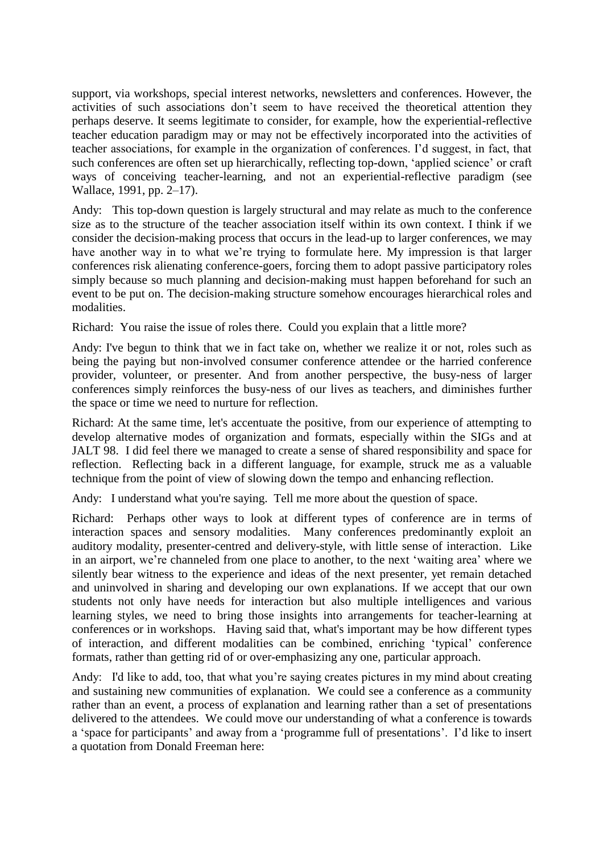support, via workshops, special interest networks, newsletters and conferences. However, the activities of such associations don't seem to have received the theoretical attention they perhaps deserve. It seems legitimate to consider, for example, how the experiential-reflective teacher education paradigm may or may not be effectively incorporated into the activities of teacher associations, for example in the organization of conferences. I'd suggest, in fact, that such conferences are often set up hierarchically, reflecting top-down, 'applied science' or craft ways of conceiving teacher-learning, and not an experiential-reflective paradigm (see Wallace, 1991, pp. 2–17).

Andy: This top-down question is largely structural and may relate as much to the conference size as to the structure of the teacher association itself within its own context. I think if we consider the decision-making process that occurs in the lead-up to larger conferences, we may have another way in to what we're trying to formulate here. My impression is that larger conferences risk alienating conference-goers, forcing them to adopt passive participatory roles simply because so much planning and decision-making must happen beforehand for such an event to be put on. The decision-making structure somehow encourages hierarchical roles and modalities.

Richard: You raise the issue of roles there. Could you explain that a little more?

Andy: I've begun to think that we in fact take on, whether we realize it or not, roles such as being the paying but non-involved consumer conference attendee or the harried conference provider, volunteer, or presenter. And from another perspective, the busy-ness of larger conferences simply reinforces the busy-ness of our lives as teachers, and diminishes further the space or time we need to nurture for reflection.

Richard: At the same time, let's accentuate the positive, from our experience of attempting to develop alternative modes of organization and formats, especially within the SIGs and at JALT 98. I did feel there we managed to create a sense of shared responsibility and space for reflection. Reflecting back in a different language, for example, struck me as a valuable technique from the point of view of slowing down the tempo and enhancing reflection.

Andy: I understand what you're saying. Tell me more about the question of space.

Richard: Perhaps other ways to look at different types of conference are in terms of interaction spaces and sensory modalities. Many conferences predominantly exploit an auditory modality, presenter-centred and delivery-style, with little sense of interaction. Like in an airport, we're channeled from one place to another, to the next 'waiting area' where we silently bear witness to the experience and ideas of the next presenter, yet remain detached and uninvolved in sharing and developing our own explanations. If we accept that our own students not only have needs for interaction but also multiple intelligences and various learning styles, we need to bring those insights into arrangements for teacher-learning at conferences or in workshops. Having said that, what's important may be how different types of interaction, and different modalities can be combined, enriching 'typical' conference formats, rather than getting rid of or over-emphasizing any one, particular approach.

Andy: I'd like to add, too, that what you're saying creates pictures in my mind about creating and sustaining new communities of explanation. We could see a conference as a community rather than an event, a process of explanation and learning rather than a set of presentations delivered to the attendees. We could move our understanding of what a conference is towards a 'space for participants' and away from a 'programme full of presentations'. I'd like to insert a quotation from Donald Freeman here: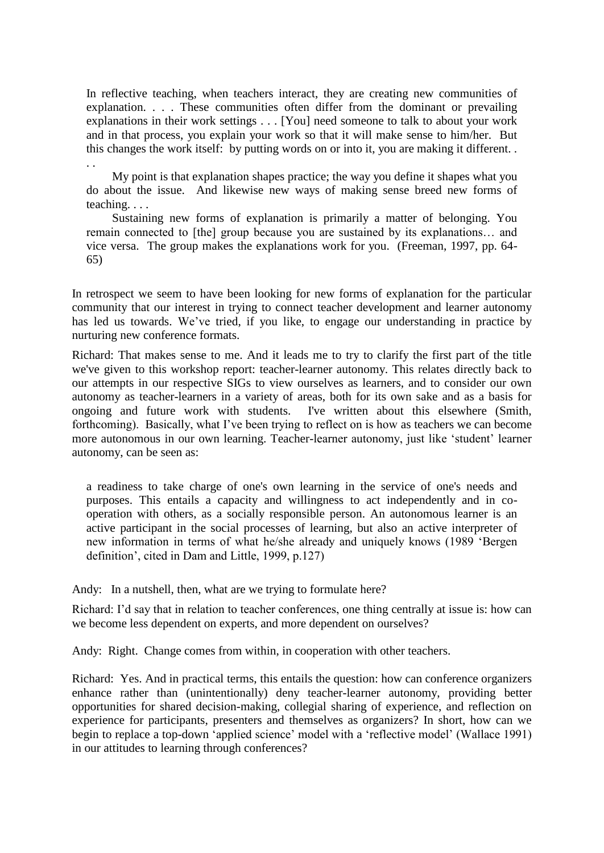In reflective teaching, when teachers interact, they are creating new communities of explanation. . . . These communities often differ from the dominant or prevailing explanations in their work settings . . . [You] need someone to talk to about your work and in that process, you explain your work so that it will make sense to him/her. But this changes the work itself: by putting words on or into it, you are making it different. . . .

My point is that explanation shapes practice; the way you define it shapes what you do about the issue. And likewise new ways of making sense breed new forms of teaching. . . .

Sustaining new forms of explanation is primarily a matter of belonging. You remain connected to [the] group because you are sustained by its explanations… and vice versa. The group makes the explanations work for you. (Freeman, 1997, pp. 64- 65)

In retrospect we seem to have been looking for new forms of explanation for the particular community that our interest in trying to connect teacher development and learner autonomy has led us towards. We've tried, if you like, to engage our understanding in practice by nurturing new conference formats.

Richard: That makes sense to me. And it leads me to try to clarify the first part of the title we've given to this workshop report: teacher-learner autonomy. This relates directly back to our attempts in our respective SIGs to view ourselves as learners, and to consider our own autonomy as teacher-learners in a variety of areas, both for its own sake and as a basis for ongoing and future work with students. I've written about this elsewhere (Smith, forthcoming). Basically, what I've been trying to reflect on is how as teachers we can become more autonomous in our own learning. Teacher-learner autonomy, just like 'student' learner autonomy, can be seen as:

a readiness to take charge of one's own learning in the service of one's needs and purposes. This entails a capacity and willingness to act independently and in cooperation with others, as a socially responsible person. An autonomous learner is an active participant in the social processes of learning, but also an active interpreter of new information in terms of what he/she already and uniquely knows (1989 'Bergen definition', cited in Dam and Little, 1999, p.127)

Andy: In a nutshell, then, what are we trying to formulate here?

Richard: I'd say that in relation to teacher conferences, one thing centrally at issue is: how can we become less dependent on experts, and more dependent on ourselves?

Andy: Right. Change comes from within, in cooperation with other teachers.

Richard: Yes. And in practical terms, this entails the question: how can conference organizers enhance rather than (unintentionally) deny teacher-learner autonomy, providing better opportunities for shared decision-making, collegial sharing of experience, and reflection on experience for participants, presenters and themselves as organizers? In short, how can we begin to replace a top-down 'applied science' model with a 'reflective model' (Wallace 1991) in our attitudes to learning through conferences?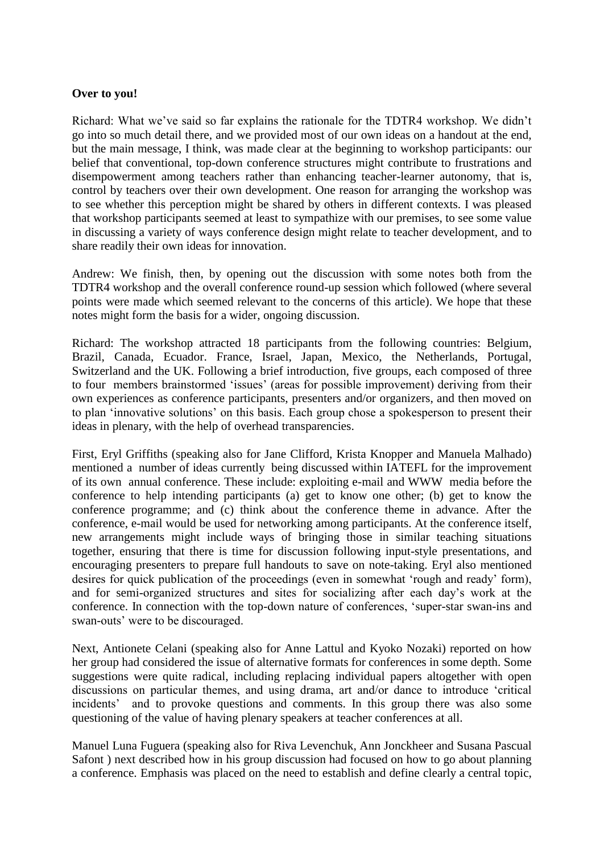#### **Over to you!**

Richard: What we've said so far explains the rationale for the TDTR4 workshop. We didn't go into so much detail there, and we provided most of our own ideas on a handout at the end, but the main message, I think, was made clear at the beginning to workshop participants: our belief that conventional, top-down conference structures might contribute to frustrations and disempowerment among teachers rather than enhancing teacher-learner autonomy, that is, control by teachers over their own development. One reason for arranging the workshop was to see whether this perception might be shared by others in different contexts. I was pleased that workshop participants seemed at least to sympathize with our premises, to see some value in discussing a variety of ways conference design might relate to teacher development, and to share readily their own ideas for innovation.

Andrew: We finish, then, by opening out the discussion with some notes both from the TDTR4 workshop and the overall conference round-up session which followed (where several points were made which seemed relevant to the concerns of this article). We hope that these notes might form the basis for a wider, ongoing discussion.

Richard: The workshop attracted 18 participants from the following countries: Belgium, Brazil, Canada, Ecuador. France, Israel, Japan, Mexico, the Netherlands, Portugal, Switzerland and the UK. Following a brief introduction, five groups, each composed of three to four members brainstormed 'issues' (areas for possible improvement) deriving from their own experiences as conference participants, presenters and/or organizers, and then moved on to plan 'innovative solutions' on this basis. Each group chose a spokesperson to present their ideas in plenary, with the help of overhead transparencies.

First, Eryl Griffiths (speaking also for Jane Clifford, Krista Knopper and Manuela Malhado) mentioned a number of ideas currently being discussed within IATEFL for the improvement of its own annual conference. These include: exploiting e-mail and WWW media before the conference to help intending participants (a) get to know one other; (b) get to know the conference programme; and (c) think about the conference theme in advance. After the conference, e-mail would be used for networking among participants. At the conference itself, new arrangements might include ways of bringing those in similar teaching situations together, ensuring that there is time for discussion following input-style presentations, and encouraging presenters to prepare full handouts to save on note-taking. Eryl also mentioned desires for quick publication of the proceedings (even in somewhat 'rough and ready' form), and for semi-organized structures and sites for socializing after each day's work at the conference. In connection with the top-down nature of conferences, 'super-star swan-ins and swan-outs' were to be discouraged.

Next, Antionete Celani (speaking also for Anne Lattul and Kyoko Nozaki) reported on how her group had considered the issue of alternative formats for conferences in some depth. Some suggestions were quite radical, including replacing individual papers altogether with open discussions on particular themes, and using drama, art and/or dance to introduce 'critical incidents' and to provoke questions and comments. In this group there was also some questioning of the value of having plenary speakers at teacher conferences at all.

Manuel Luna Fuguera (speaking also for Riva Levenchuk, Ann Jonckheer and Susana Pascual Safont ) next described how in his group discussion had focused on how to go about planning a conference. Emphasis was placed on the need to establish and define clearly a central topic,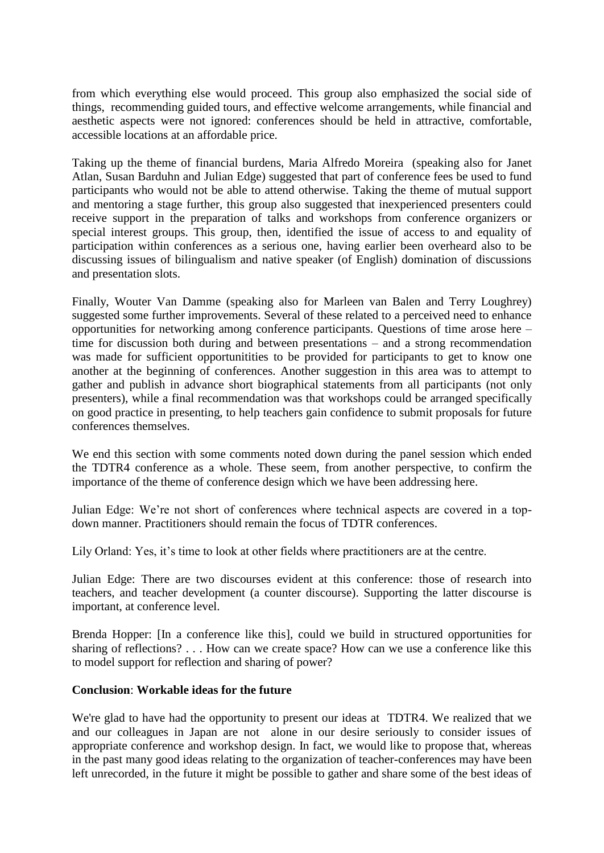from which everything else would proceed. This group also emphasized the social side of things, recommending guided tours, and effective welcome arrangements, while financial and aesthetic aspects were not ignored: conferences should be held in attractive, comfortable, accessible locations at an affordable price.

Taking up the theme of financial burdens, Maria Alfredo Moreira (speaking also for Janet Atlan, Susan Barduhn and Julian Edge) suggested that part of conference fees be used to fund participants who would not be able to attend otherwise. Taking the theme of mutual support and mentoring a stage further, this group also suggested that inexperienced presenters could receive support in the preparation of talks and workshops from conference organizers or special interest groups. This group, then, identified the issue of access to and equality of participation within conferences as a serious one, having earlier been overheard also to be discussing issues of bilingualism and native speaker (of English) domination of discussions and presentation slots.

Finally, Wouter Van Damme (speaking also for Marleen van Balen and Terry Loughrey) suggested some further improvements. Several of these related to a perceived need to enhance opportunities for networking among conference participants. Questions of time arose here – time for discussion both during and between presentations – and a strong recommendation was made for sufficient opportunitities to be provided for participants to get to know one another at the beginning of conferences. Another suggestion in this area was to attempt to gather and publish in advance short biographical statements from all participants (not only presenters), while a final recommendation was that workshops could be arranged specifically on good practice in presenting, to help teachers gain confidence to submit proposals for future conferences themselves.

We end this section with some comments noted down during the panel session which ended the TDTR4 conference as a whole. These seem, from another perspective, to confirm the importance of the theme of conference design which we have been addressing here.

Julian Edge: We're not short of conferences where technical aspects are covered in a topdown manner. Practitioners should remain the focus of TDTR conferences.

Lily Orland: Yes, it's time to look at other fields where practitioners are at the centre.

Julian Edge: There are two discourses evident at this conference: those of research into teachers, and teacher development (a counter discourse). Supporting the latter discourse is important, at conference level.

Brenda Hopper: [In a conference like this], could we build in structured opportunities for sharing of reflections? . . . How can we create space? How can we use a conference like this to model support for reflection and sharing of power?

#### **Conclusion**: **Workable ideas for the future**

We're glad to have had the opportunity to present our ideas at TDTR4. We realized that we and our colleagues in Japan are not alone in our desire seriously to consider issues of appropriate conference and workshop design. In fact, we would like to propose that, whereas in the past many good ideas relating to the organization of teacher-conferences may have been left unrecorded, in the future it might be possible to gather and share some of the best ideas of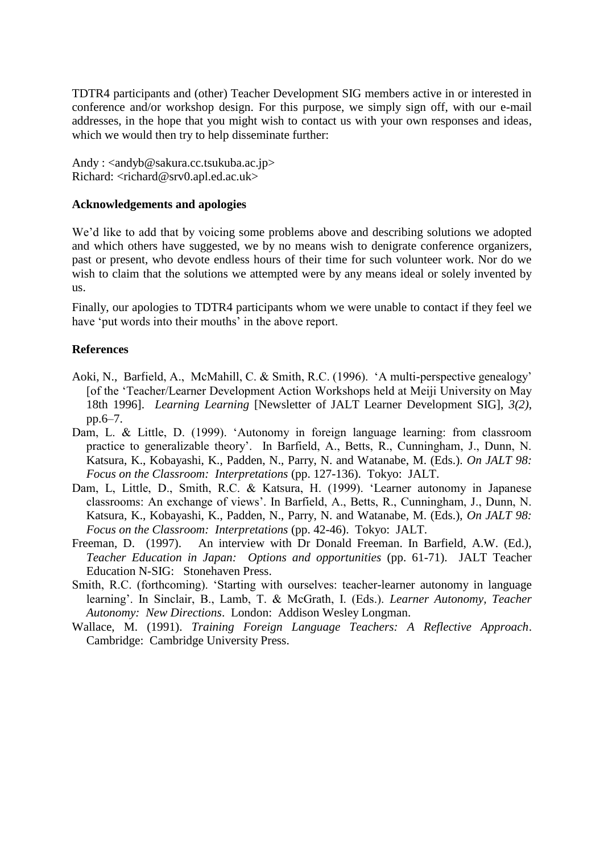TDTR4 participants and (other) Teacher Development SIG members active in or interested in conference and/or workshop design. For this purpose, we simply sign off, with our e-mail addresses, in the hope that you might wish to contact us with your own responses and ideas, which we would then try to help disseminate further:

Andy : <andyb@sakura.cc.tsukuba.ac.jp> Richard: <richard@srv0.apl.ed.ac.uk>

#### **Acknowledgements and apologies**

We'd like to add that by voicing some problems above and describing solutions we adopted and which others have suggested, we by no means wish to denigrate conference organizers, past or present, who devote endless hours of their time for such volunteer work. Nor do we wish to claim that the solutions we attempted were by any means ideal or solely invented by us.

Finally, our apologies to TDTR4 participants whom we were unable to contact if they feel we have 'put words into their mouths' in the above report.

### **References**

- Aoki, N., Barfield, A., McMahill, C. & Smith, R.C. (1996). 'A multi-perspective genealogy' [of the 'Teacher/Learner Development Action Workshops held at Meiji University on May 18th 1996]. *Learning Learning* [Newsletter of JALT Learner Development SIG], *3(2)*, pp.6–7.
- Dam, L. & Little, D. (1999). 'Autonomy in foreign language learning: from classroom practice to generalizable theory'. In Barfield, A., Betts, R., Cunningham, J., Dunn, N. Katsura, K., Kobayashi, K., Padden, N., Parry, N. and Watanabe, M. (Eds.). *On JALT 98: Focus on the Classroom: Interpretations* (pp. 127-136). Tokyo: JALT.
- Dam, L, Little, D., Smith, R.C. & Katsura, H. (1999). 'Learner autonomy in Japanese classrooms: An exchange of views'. In Barfield, A., Betts, R., Cunningham, J., Dunn, N. Katsura, K., Kobayashi, K., Padden, N., Parry, N. and Watanabe, M. (Eds.), *On JALT 98: Focus on the Classroom: Interpretations* (pp. 42-46). Tokyo: JALT.
- Freeman, D. (1997). An interview with Dr Donald Freeman. In Barfield, A.W. (Ed.), *Teacher Education in Japan: Options and opportunities* (pp. 61-71). JALT Teacher Education N-SIG: Stonehaven Press.
- Smith, R.C. (forthcoming). 'Starting with ourselves: teacher-learner autonomy in language learning'. In Sinclair, B., Lamb, T. & McGrath, I. (Eds.). *Learner Autonomy, Teacher Autonomy: New Directions*. London: Addison Wesley Longman.
- Wallace, M. (1991). *Training Foreign Language Teachers: A Reflective Approach*. Cambridge: Cambridge University Press.